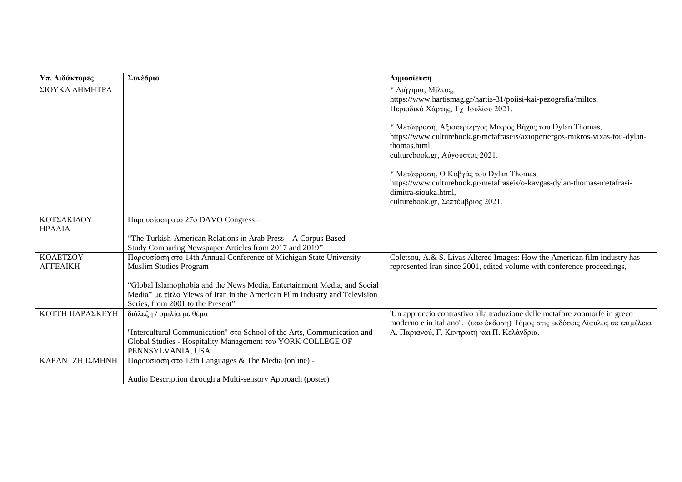| Υπ. Διδάκτορες  | Συνέδριο                                                                                                                 | Δημοσίευση                                                                                                                                           |
|-----------------|--------------------------------------------------------------------------------------------------------------------------|------------------------------------------------------------------------------------------------------------------------------------------------------|
| ΣΙΟΥΚΑ ΔΗΜΗΤΡΑ  |                                                                                                                          | * Διήγημα, Μίλτος,                                                                                                                                   |
|                 |                                                                                                                          | https://www.hartismag.gr/hartis-31/poiisi-kai-pezografia/miltos,                                                                                     |
|                 |                                                                                                                          | Περιοδικό Χάρτης, Τχ Ιουλίου 2021.                                                                                                                   |
|                 |                                                                                                                          |                                                                                                                                                      |
|                 |                                                                                                                          | * Μετάφραση, Αξιοπερίεργος Μικρός Βήχας του Dylan Thomas,                                                                                            |
|                 |                                                                                                                          | https://www.culturebook.gr/metafraseis/axioperiergos-mikros-vixas-tou-dylan-                                                                         |
|                 |                                                                                                                          | thomas.html.                                                                                                                                         |
|                 |                                                                                                                          | culturebook.gr, Αύγουστος 2021.                                                                                                                      |
|                 |                                                                                                                          | * Μετάφραση, Ο Καβγάς του Dylan Thomas,                                                                                                              |
|                 |                                                                                                                          | https://www.culturebook.gr/metafraseis/o-kavgas-dylan-thomas-metafrasi-                                                                              |
|                 |                                                                                                                          | dimitra-siouka.html,                                                                                                                                 |
|                 |                                                                                                                          | culturebook.gr, Σεπτέμβριος 2021.                                                                                                                    |
|                 |                                                                                                                          |                                                                                                                                                      |
| ΚΟΤΣΑΚΙΔΟΥ      | Παρουσίαση στο 27ο DAVO Congress -                                                                                       |                                                                                                                                                      |
| ΗΡΑΛΙΑ          |                                                                                                                          |                                                                                                                                                      |
|                 | "The Turkish-American Relations in Arab Press - A Corpus Based<br>Study Comparing Newspaper Articles from 2017 and 2019" |                                                                                                                                                      |
| ΚΟΛΕΤΣΟΥ        |                                                                                                                          |                                                                                                                                                      |
| ΑΓΓΕΛΙΚΗ        | Παρουσίαση στο 14th Annual Conference of Michigan State University<br><b>Muslim Studies Program</b>                      | Coletsou, A.& S. Livas Altered Images: How the American film industry has<br>represented Iran since 2001, edited volume with conference proceedings, |
|                 |                                                                                                                          |                                                                                                                                                      |
|                 | "Global Islamophobia and the News Media, Entertainment Media, and Social                                                 |                                                                                                                                                      |
|                 | Media" με τίτλο Views of Iran in the American Film Industry and Television                                               |                                                                                                                                                      |
|                 | Series, from 2001 to the Present"                                                                                        |                                                                                                                                                      |
| ΚΟΤΤΗ ΠΑΡΑΣΚΕΥΗ | διάλεξη / ομιλία με θέμα                                                                                                 | 'Un approccio contrastivo alla traduzione delle metafore zoomorfe in greco                                                                           |
|                 |                                                                                                                          | moderno e in italiano". (υπό έκδοση) Τόμος στις εκδόσεις Δίαυλος σε επιμέλεια                                                                        |
|                 | "Intercultural Communication" στο School of the Arts, Communication and                                                  | Α. Παριανού, Γ. Κεντρωτή και Π. Κελάνδρια.                                                                                                           |
|                 | Global Studies - Hospitality Management του YORK COLLEGE OF                                                              |                                                                                                                                                      |
|                 | PENNSYLVANIA, USA                                                                                                        |                                                                                                                                                      |
| ΚΑΡΑΝΤΖΗ ΙΣΜΗΝΗ | Παρουσίαση στο 12th Languages & The Media (online) -                                                                     |                                                                                                                                                      |
|                 |                                                                                                                          |                                                                                                                                                      |
|                 | Audio Description through a Multi-sensory Approach (poster)                                                              |                                                                                                                                                      |